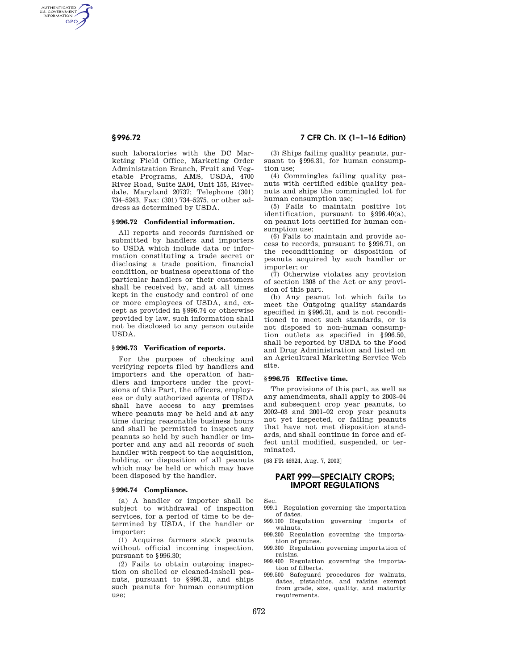AUTHENTICATED<br>U.S. GOVERNMENT<br>INFORMATION **GPO** 

> such laboratories with the DC Marketing Field Office, Marketing Order Administration Branch, Fruit and Vegetable Programs, AMS, USDA, 4700 River Road, Suite 2A04, Unit 155, Riverdale, Maryland 20737; Telephone (301) 734–5243, Fax: (301) 734–5275, or other address as determined by USDA.

## **§ 996.72 Confidential information.**

All reports and records furnished or submitted by handlers and importers to USDA which include data or information constituting a trade secret or disclosing a trade position, financial condition, or business operations of the particular handlers or their customers shall be received by, and at all times kept in the custody and control of one or more employees of USDA, and, except as provided in §996.74 or otherwise provided by law, such information shall not be disclosed to any person outside USDA.

#### **§ 996.73 Verification of reports.**

For the purpose of checking and verifying reports filed by handlers and importers and the operation of handlers and importers under the provisions of this Part, the officers, employees or duly authorized agents of USDA shall have access to any premises where peanuts may be held and at any time during reasonable business hours and shall be permitted to inspect any peanuts so held by such handler or importer and any and all records of such handler with respect to the acquisition, holding, or disposition of all peanuts which may be held or which may have been disposed by the handler.

### **§ 996.74 Compliance.**

(a) A handler or importer shall be subject to withdrawal of inspection services, for a period of time to be determined by USDA, if the handler or importer:

(1) Acquires farmers stock peanuts without official incoming inspection, pursuant to §996.30;

(2) Fails to obtain outgoing inspection on shelled or cleaned-inshell peanuts, pursuant to §996.31, and ships such peanuts for human consumption use;

## **§ 996.72 7 CFR Ch. IX (1–1–16 Edition)**

(3) Ships failing quality peanuts, pursuant to §996.31, for human consumption use;

(4) Commingles failing quality peanuts with certified edible quality peanuts and ships the commingled lot for human consumption use;

(5) Fails to maintain positive lot identification, pursuant to §996.40(a), on peanut lots certified for human consumption use;

(6) Fails to maintain and provide access to records, pursuant to §996.71, on the reconditioning or disposition of peanuts acquired by such handler or importer; or

(7) Otherwise violates any provision of section 1308 of the Act or any provision of this part.

(b) Any peanut lot which fails to meet the Outgoing quality standards specified in §996.31, and is not reconditioned to meet such standards, or is not disposed to non-human consumption outlets as specified in §996.50, shall be reported by USDA to the Food and Drug Administration and listed on an Agricultural Marketing Service Web site.

## **§ 996.75 Effective time.**

The provisions of this part, as well as any amendments, shall apply to 2003–04 and subsequent crop year peanuts, to 2002–03 and 2001–02 crop year peanuts not yet inspected, or failing peanuts that have not met disposition standards, and shall continue in force and effect until modified, suspended, or terminated.

[68 FR 46924, Aug. 7, 2003]

# **PART 999—SPECIALTY CROPS; IMPORT REGULATIONS**

- Sec. 999.1 Regulation governing the importation of dates.
- 999.100 Regulation governing imports of walnuts.
- 999.200 Regulation governing the importation of prunes.
- 999.300 Regulation governing importation of raisins.
- 999.400 Regulation governing the importation of filberts.
- 999.500 Safeguard procedures for walnuts, dates, pistachios, and raisins exempt from grade, size, quality, and maturity requirements.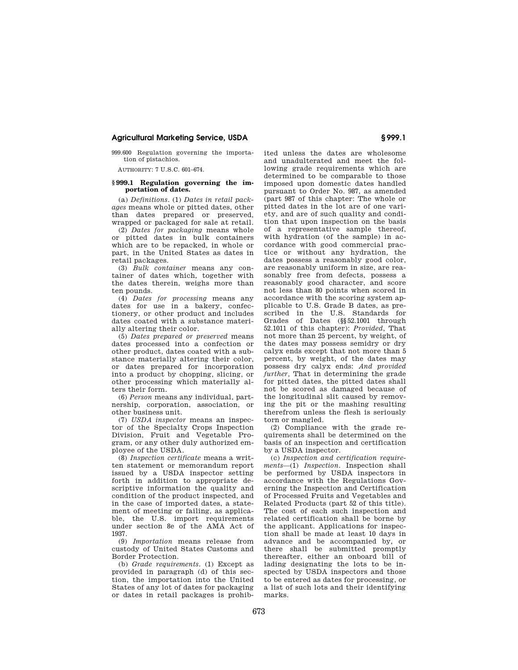999.600 Regulation governing the importation of pistachios.

AUTHORITY: 7 U.S.C. 601–674.

### **§ 999.1 Regulation governing the importation of dates.**

(a) *Definitions.* (1) *Dates in retail packages* means whole or pitted dates, other than dates prepared or preserved, wrapped or packaged for sale at retail.

(2) *Dates for packaging* means whole or pitted dates in bulk containers which are to be repacked, in whole or part, in the United States as dates in retail packages.

(3) *Bulk container* means any container of dates which, together with the dates therein, weighs more than ten pounds.

(4) *Dates for processing* means any dates for use in a bakery, confectionery, or other product and includes dates coated with a substance materially altering their color.

(5) *Dates prepared or preserved* means dates processed into a confection or other product, dates coated with a substance materially altering their color, or dates prepared for incorporation into a product by chopping, slicing, or other processing which materially alters their form.

(6) *Person* means any individual, partnership, corporation, association, or other business unit.

(7) *USDA inspector* means an inspector of the Specialty Crops Inspection Division, Fruit and Vegetable Program, or any other duly authorized employee of the USDA.

(8) *Inspection certificate* means a written statement or memorandum report issued by a USDA inspector setting forth in addition to appropriate descriptive information the quality and condition of the product inspected, and in the case of imported dates, a statement of meeting or failing, as applicable, the U.S. import requirements under section 8e of the AMA Act of 1937.

(9) *Importation* means release from custody of United States Customs and Border Protection.

(b) *Grade requirements.* (1) Except as provided in paragraph (d) of this section, the importation into the United States of any lot of dates for packaging or dates in retail packages is prohibited unless the dates are wholesome and unadulterated and meet the following grade requirements which are determined to be comparable to those imposed upon domestic dates handled pursuant to Order No. 987, as amended (part 987 of this chapter: The whole or pitted dates in the lot are of one variety, and are of such quality and condition that upon inspection on the basis of a representative sample thereof, with hydration (of the sample) in accordance with good commercial practice or without any hydration, the dates possess a reasonably good color are reasonably uniform in size, are reasonably free from defects, possess a reasonably good character, and score not less than 80 points when scored in accordance with the scoring system applicable to U.S. Grade B dates, as prescribed in the U.S. Standards for Grades of Dates (§§52.1001 through 52.1011 of this chapter): *Provided,* That not more than 25 percent, by weight, of the dates may possess semidry or dry calyx ends except that not more than 5 percent, by weight, of the dates may possess dry calyx ends: *And provided further,* That in determining the grade for pitted dates, the pitted dates shall not be scored as damaged because of the longitudinal slit caused by removing the pit or the mashing resulting therefrom unless the flesh is seriously torn or mangled.

(2) Compliance with the grade requirements shall be determined on the basis of an inspection and certification by a USDA inspector.

(c) *Inspection and certification requirements*—(1) *Inspection.* Inspection shall be performed by USDA inspectors in accordance with the Regulations Governing the Inspection and Certification of Processed Fruits and Vegetables and Related Products (part 52 of this title). The cost of each such inspection and related certification shall be borne by the applicant. Applications for inspection shall be made at least 10 days in advance and be accompanied by, or there shall be submitted promptly thereafter, either an onboard bill of lading designating the lots to be inspected by USDA inspectors and those to be entered as dates for processing, or a list of such lots and their identifying marks.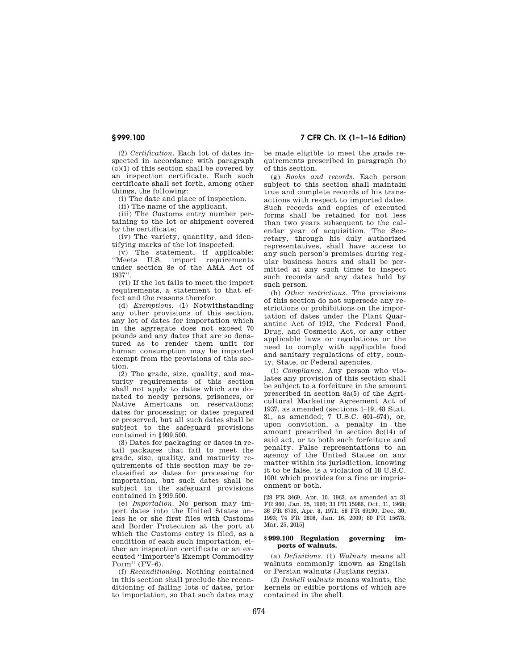(2) *Certification.* Each lot of dates inspected in accordance with paragraph  $(c)(1)$  of this section shall be covered by an inspection certificate. Each such certificate shall set forth, among other things, the following:

(i) The date and place of inspection.

(ii) The name of the applicant.

(iii) The Customs entry number pertaining to the lot or shipment covered by the certificate;

(iv) The variety, quantity, and identifying marks of the lot inspected.

(v) The statement, if applicable: ''Meets U.S. import requirements under section 8e of the AMA Act of 1937''.

(vi) If the lot fails to meet the import requirements, a statement to that effect and the reasons therefor.

(d) *Exemptions.* (1) Notwithstanding any other provisions of this section, any lot of dates for importation which in the aggregate does not exceed 70 pounds and any dates that are so denatured as to render them unfit for human consumption may be imported exempt from the provisions of this section.

(2) The grade, size, quality, and maturity requirements of this section shall not apply to dates which are donated to needy persons, prisoners, or Native Americans on reservations; dates for processing; or dates prepared or preserved, but all such dates shall be subject to the safeguard provisions contained in §999.500.

(3) Dates for packaging or dates in retail packages that fail to meet the grade, size, quality, and maturity requirements of this section may be reclassified as dates for processing for importation, but such dates shall be subject to the safeguard provisions contained in §999.500.

(e) *Importation.* No person may import dates into the United States unless he or she first files with Customs and Border Protection at the port at which the Customs entry is filed, as a condition of each such importation, either an inspection certificate or an executed ''Importer's Exempt Commodity Form"  $(FV-6)$ .

(f) *Reconditioning.* Nothing contained in this section shall preclude the reconditioning of failing lots of dates, prior to importation, so that such dates may

**§ 999.100 7 CFR Ch. IX (1–1–16 Edition)** 

be made eligible to meet the grade requirements prescribed in paragraph (b) of this section.

(g) *Books and records.* Each person subject to this section shall maintain true and complete records of his transactions with respect to imported dates. Such records and copies of executed forms shall be retained for not less than two years subsequent to the calendar year of acquisition. The Secretary, through his duly authorized representatives, shall have access to any such person's premises during regular business hours and shall be permitted at any such times to inspect such records and any dates held by such person.

(h) *Other restrictions.* The provisions of this section do not supersede any restrictions or prohibitions on the importation of dates under the Plant Quarantine Act of 1912, the Federal Food, Drug, and Cosmetic Act, or any other applicable laws or regulations or the need to comply with applicable food and sanitary regulations of city, county, State, or Federal agencies.

(i) *Compliance.* Any person who violates any provision of this section shall be subject to a forfeiture in the amount prescribed in section 8a(5) of the Agricultural Marketing Agreement Act of 1937, as amended (sections 1–19, 48 Stat. 31, as amended; 7 U.S.C. 601–674), or, upon conviction, a penalty in the amount prescribed in section 8c(14) of said act, or to both such forfeiture and penalty. False representations to an agency of the United States on any matter within its jurisdiction, knowing it to be false, is a violation of 18 U.S.C. 1001 which provides for a fine or imprisonment or both.

[28 FR 3469, Apr. 10, 1963, as amended at 31 FR 960, Jan. 25, 1966; 33 FR 15986, Oct. 31, 1968; 36 FR 6736, Apr. 8, 1971; 58 FR 69190, Dec. 30, 1993; 74 FR 2808, Jan. 16, 2009; 80 FR 15678, Mar. 25, 2015]

## **§ 999.100 Regulation governing imports of walnuts.**

(a) *Definitions.* (1) *Walnuts* means all walnuts commonly known as English or Persian walnuts (Juglans regia).

(2) *Inshell walnuts* means walnuts, the kernels or edible portions of which are contained in the shell.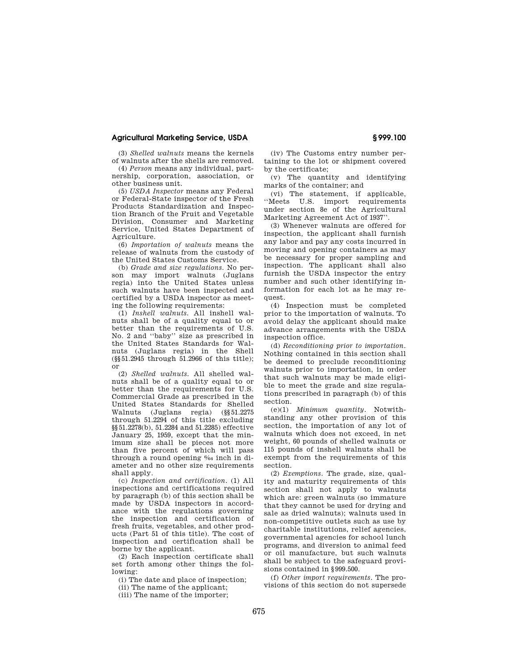(3) *Shelled walnuts* means the kernels of walnuts after the shells are removed.

(4) *Person* means any individual, partnership, corporation, association, or other business unit.

(5) *USDA Inspector* means any Federal or Federal-State inspector of the Fresh Products Standardization and Inspection Branch of the Fruit and Vegetable Division, Consumer and Marketing Service, United States Department of Agriculture.

(6) *Importation of walnuts* means the release of walnuts from the custody of the United States Customs Service.

(b) *Grade and size regulations.* No person may import walnuts (Juglans regia) into the United States unless such walnuts have been inspected and certified by a USDA inspector as meeting the following requirements:

(1) *Inshell walnuts.* All inshell walnuts shall be of a quality equal to or better than the requirements of U.S. No. 2 and ''baby'' size as prescribed in the United States Standards for Walnuts (Juglans regia) in the Shell (§§51.2945 through 51.2966 of this title); or

(2) *Shelled walnuts.* All shelled walnuts shall be of a quality equal to or better than the requirements for U.S. Commercial Grade as prescribed in the United States Standards for Shelled Walnuts (Juglans regia) (§§51.2275 through 51.2294 of this title excluding §§51.2278(b), 51.2284 and 51.2285) effective January 25, 1959, except that the minimum size shall be pieces not more than five percent of which will pass through a round opening 6⁄64 inch in diameter and no other size requirements shall apply.

(c) *Inspection and certification.* (1) All inspections and certifications required by paragraph (b) of this section shall be made by USDA inspectors in accordance with the regulations governing the inspection and certification of fresh fruits, vegetables, and other products (Part 51 of this title). The cost of inspection and certification shall be borne by the applicant.

(2) Each inspection certificate shall set forth among other things the following:

(i) The date and place of inspection;

(ii) The name of the applicant;

(iii) The name of the importer;

(iv) The Customs entry number pertaining to the lot or shipment covered by the certificate;

(v) The quantity and identifying marks of the container; and

(vi) The statement, if applicable, ''Meets U.S. import requirements under section 8e of the Agricultural Marketing Agreement Act of 1937''.

(3) Whenever walnuts are offered for inspection, the applicant shall furnish any labor and pay any costs incurred in moving and opening containers as may be necessary for proper sampling and inspection. The applicant shall also furnish the USDA inspector the entry number and such other identifying information for each lot as he may request.

(4) Inspection must be completed prior to the importation of walnuts. To avoid delay the applicant should make advance arrangements with the USDA inspection office.

(d) *Reconditioning prior to importation.*  Nothing contained in this section shall be deemed to preclude reconditioning walnuts prior to importation, in order that such walnuts may be made eligible to meet the grade and size regulations prescribed in paragraph (b) of this section.

(e)(1) *Minimum quantity.* Notwithstanding any other provision of this section, the importation of any lot of walnuts which does not exceed, in net weight, 60 pounds of shelled walnuts or 115 pounds of inshell walnuts shall be exempt from the requirements of this section.

(2) *Exemptions.* The grade, size, quality and maturity requirements of this section shall not apply to walnuts which are: green walnuts (so immature that they cannot be used for drying and sale as dried walnuts); walnuts used in non-competitive outlets such as use by charitable institutions, relief agencies, governmental agencies for school lunch programs, and diversion to animal feed or oil manufacture, but such walnuts shall be subject to the safeguard provisions contained in §999.500.

(f) *Other import requirements.* The provisions of this section do not supersede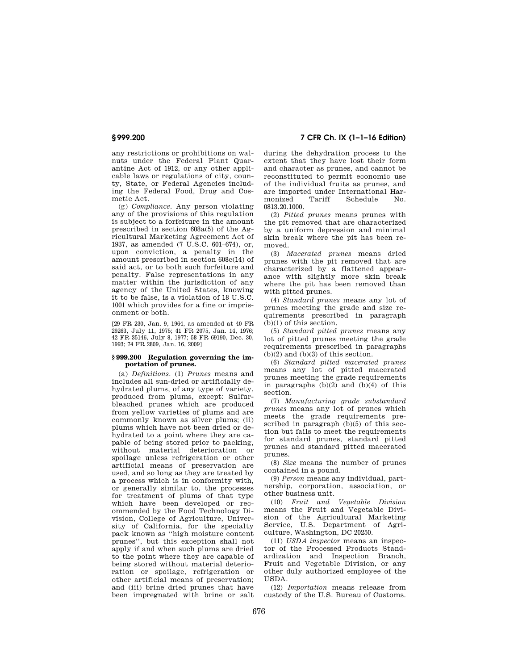any restrictions or prohibitions on walnuts under the Federal Plant Quarantine Act of 1912, or any other applicable laws or regulations of city, county, State, or Federal Agencies including the Federal Food, Drug and Cosmetic Act.

(g) *Compliance.* Any person violating any of the provisions of this regulation is subject to a forfeiture in the amount prescribed in section 608a(5) of the Agricultural Marketing Agreement Act of 1937, as amended (7 U.S.C. 601–674), or, upon conviction, a penalty in the amount prescribed in section 608c(14) of said act, or to both such forfeiture and penalty. False representations in any matter within the jurisdiction of any agency of the United States, knowing it to be false, is a violation of 18 U.S.C. 1001 which provides for a fine or imprisonment or both.

[29 FR 230, Jan. 9, 1964, as amended at 40 FR 29263, July 11, 1975; 41 FR 2075, Jan. 14, 1976; 42 FR 35146, July 8, 1977; 58 FR 69190, Dec. 30, 1993; 74 FR 2809, Jan. 16, 2009]

### **§ 999.200 Regulation governing the importation of prunes.**

(a) *Definitions.* (1) *Prunes* means and includes all sun-dried or artificially dehydrated plums, of any type of variety, produced from plums, except: Sulfur-.<br>bleached prunes which are produced from yellow varieties of plums and are commonly known as silver plums; (ii) plums which have not been dried or dehydrated to a point where they are capable of being stored prior to packing, without material deterioration or spoilage unless refrigeration or other artificial means of preservation are used, and so long as they are treated by a process which is in conformity with, or generally similar to, the processes for treatment of plums of that type which have been developed or recommended by the Food Technology Division, College of Agriculture, University of California, for the specialty pack known as ''high moisture content prunes'', but this exception shall not apply if and when such plums are dried to the point where they are capable of being stored without material deterioration or spoilage, refrigeration or other artificial means of preservation; and (iii) brine dried prunes that have been impregnated with brine or salt

**§ 999.200 7 CFR Ch. IX (1–1–16 Edition)** 

during the dehydration process to the extent that they have lost their form and character as prunes, and cannot be reconstituted to permit economic use of the individual fruits as prunes, and are imported under International Harmonized Tariff Schedule No. 0813.20.1000.

(2) *Pitted prunes* means prunes with the pit removed that are characterized by a uniform depression and minimal skin break where the pit has been removed.

(3) *Macerated prunes* means dried prunes with the pit removed that are characterized by a flattened appearance with slightly more skin break where the pit has been removed than with pitted prunes.

(4) *Standard prunes* means any lot of prunes meeting the grade and size requirements prescribed in paragraph (b)(1) of this section.

(5) *Standard pitted prunes* means any lot of pitted prunes meeting the grade requirements prescribed in paragraphs  $(b)(2)$  and  $(b)(3)$  of this section.

(6) *Standard pitted macerated prunes*  means any lot of pitted macerated prunes meeting the grade requirements in paragraphs  $(b)(2)$  and  $(b)(4)$  of this section.

(7) *Manufacturing grade substandard prunes* means any lot of prunes which meets the grade requirements prescribed in paragraph (b)(5) of this section but fails to meet the requirements for standard prunes, standard pitted prunes and standard pitted macerated prunes.

(8) *Size* means the number of prunes contained in a pound.

(9) *Person* means any individual, partnership, corporation, association, or other business unit.

(10) *Fruit and Vegetable Division*  means the Fruit and Vegetable Division of the Agricultural Marketing Service, U.S. Department of Agriculture, Washington, DC 20250.

(11) *USDA inspector* means an inspector of the Processed Products Standardization and Inspection Branch, Fruit and Vegetable Division, or any other duly authorized employee of the USDA.

(12) *Importation* means release from custody of the U.S. Bureau of Customs.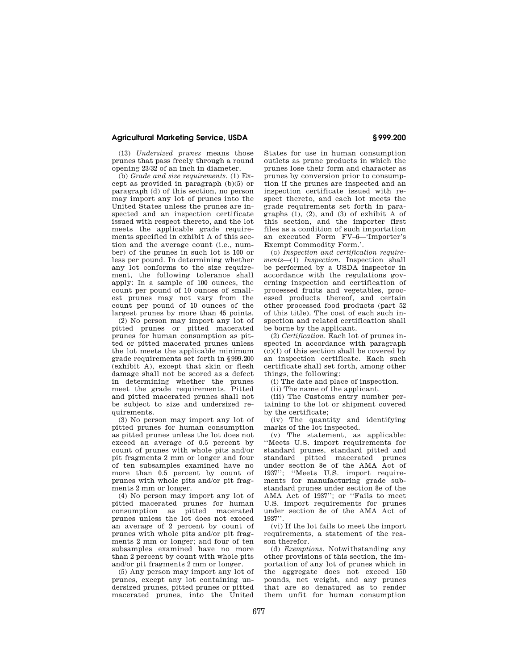(13) *Undersized prunes* means those prunes that pass freely through a round opening 23/32 of an inch in diameter.

(b) *Grade and size requirements.* (1) Except as provided in paragraph (b)(5) or paragraph (d) of this section, no person may import any lot of prunes into the United States unless the prunes are inspected and an inspection certificate issued with respect thereto, and the lot meets the applicable grade requirements specified in exhibit A of this section and the average count (i.e., number) of the prunes in such lot is 100 or less per pound. In determining whether any lot conforms to the size requirement, the following tolerance shall apply: In a sample of 100 ounces, the count per pound of 10 ounces of smallest prunes may not vary from the count per pound of 10 ounces of the largest prunes by more than 45 points.

(2) No person may import any lot of pitted prunes or pitted macerated prunes for human consumption as pitted or pitted macerated prunes unless the lot meets the applicable minimum grade requirements set forth in §999.200 (exhibit A), except that skin or flesh damage shall not be scored as a defect in determining whether the prunes meet the grade requirements. Pitted and pitted macerated prunes shall not be subject to size and undersized requirements.

(3) No person may import any lot of pitted prunes for human consumption as pitted prunes unless the lot does not exceed an average of 0.5 percent by count of prunes with whole pits and/or pit fragments 2 mm or longer and four of ten subsamples examined have no more than 0.5 percent by count of prunes with whole pits and/or pit fragments 2 mm or longer.

(4) No person may import any lot of pitted macerated prunes for human consumption as pitted macerated prunes unless the lot does not exceed an average of 2 percent by count of prunes with whole pits and/or pit fragments 2 mm or longer; and four of ten subsamples examined have no more than 2 percent by count with whole pits and/or pit fragments 2 mm or longer.

(5) Any person may import any lot of prunes, except any lot containing undersized prunes, pitted prunes or pitted macerated prunes, into the United

States for use in human consumption outlets as prune products in which the prunes lose their form and character as prunes by conversion prior to consumption if the prunes are inspected and an inspection certificate issued with respect thereto, and each lot meets the grade requirements set forth in paragraphs  $(1)$ ,  $(2)$ , and  $(3)$  of exhibit A of this section, and the importer first files as a condition of such importation an executed Form FV–6—'Importer's Exempt Commodity Form.'.

(c) *Inspection and certification requirements*—(1) *Inspection.* Inspection shall be performed by a USDA inspector in accordance with the regulations governing inspection and certification of processed fruits and vegetables, processed products thereof, and certain other processed food products (part 52 of this title). The cost of each such inspection and related certification shall be borne by the applicant.

(2) *Certification.* Each lot of prunes inspected in accordance with paragraph (c)(1) of this section shall be covered by an inspection certificate. Each such certificate shall set forth, among other things, the following:

(i) The date and place of inspection.

(ii) The name of the applicant.

(iii) The Customs entry number pertaining to the lot or shipment covered by the certificate;

(iv) The quantity and identifying marks of the lot inspected.

(v) The statement, as applicable: ''Meets U.S. import requirements for standard prunes, standard pitted and standard pitted macerated prunes under section 8e of the AMA Act of 1937''; ''Meets U.S. import requirements for manufacturing grade substandard prunes under section 8e of the AMA Act of 1937''; or ''Fails to meet U.S. import requirements for prunes under section 8e of the AMA Act of 1937''.

(vi) If the lot fails to meet the import requirements, a statement of the reason therefor.

(d) *Exemptions.* Notwithstanding any other provisions of this section, the importation of any lot of prunes which in the aggregate does not exceed 150 pounds, net weight, and any prunes that are so denatured as to render them unfit for human consumption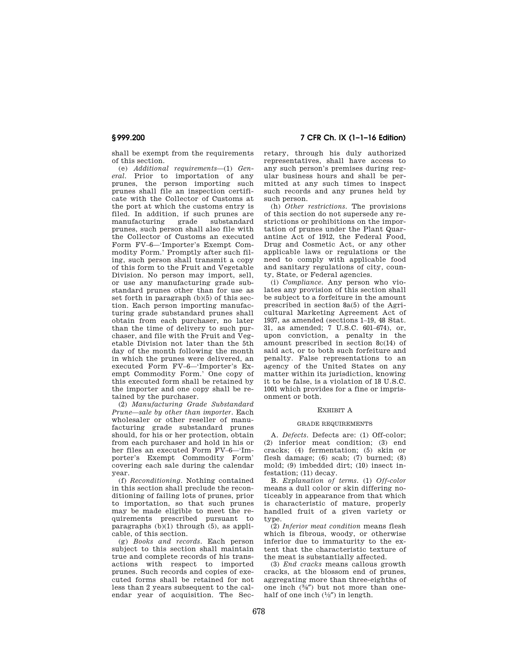shall be exempt from the requirements of this section.

(e) *Additional requirements*—(1) *General.* Prior to importation of any prunes, the person importing such prunes shall file an inspection certificate with the Collector of Customs at the port at which the customs entry is filed. In addition, if such prunes are manufacturing grade prunes, such person shall also file with the Collector of Customs an executed Form FV–6—'Importer's Exempt Commodity Form.' Promptly after such filing, such person shall transmit a copy of this form to the Fruit and Vegetable Division. No person may import, sell, or use any manufacturing grade substandard prunes other than for use as set forth in paragraph (b)(5) of this section. Each person importing manufacturing grade substandard prunes shall obtain from each purchaser, no later than the time of delivery to such purchaser, and file with the Fruit and Vegetable Division not later than the 5th day of the month following the month in which the prunes were delivered, an executed Form FV–6—'Importer's Exempt Commodity Form.' One copy of this executed form shall be retained by the importer and one copy shall be retained by the purchaser.

(2) *Manufacturing Grade Substandard Prune—sale by other than importer.* Each wholesaler or other reseller of manufacturing grade substandard prunes should, for his or her protection, obtain from each purchaser and hold in his or her files an executed Form FV–6—'Importer's Exempt Commodity Form' covering each sale during the calendar year.

(f) *Reconditioning.* Nothing contained in this section shall preclude the reconditioning of failing lots of prunes, prior to importation, so that such prunes may be made eligible to meet the requirements prescribed pursuant to paragraphs  $(b)(1)$  through  $(5)$ , as applicable, of this section.

(g) *Books and records.* Each person subject to this section shall maintain true and complete records of his transactions with respect to imported prunes. Such records and copies of executed forms shall be retained for not less than 2 years subsequent to the calendar year of acquisition. The Sec-

# **§ 999.200 7 CFR Ch. IX (1–1–16 Edition)**

retary, through his duly authorized representatives, shall have access to any such person's premises during regular business hours and shall be permitted at any such times to inspect such records and any prunes held by such person.

(h) *Other restrictions.* The provisions of this section do not supersede any restrictions or prohibitions on the importation of prunes under the Plant Quarantine Act of 1912, the Federal Food, Drug and Cosmetic Act, or any other applicable laws or regulations or the need to comply with applicable food and sanitary regulations of city, county, State, or Federal agencies.

(i) *Compliance.* Any person who violates any provision of this section shall be subject to a forfeiture in the amount prescribed in section 8a(5) of the Agricultural Marketing Agreement Act of 1937, as amended (sections 1–19, 48 Stat. 31, as amended; 7 U.S.C. 601–674), or, upon conviction, a penalty in the amount prescribed in section 8c(14) of said act, or to both such forfeiture and penalty. False representations to an agency of the United States on any matter within its jurisdiction, knowing it to be false, is a violation of 18 U.S.C. 1001 which provides for a fine or imprisonment or both.

## EXHIBIT A

### GRADE REQUIREMENTS

A. *Defects.* Defects are: (1) Off-color; (2) inferior meat condition; (3) end cracks; (4) fermentation; (5) skin or flesh damage; (6) scab; (7) burned; (8) mold; (9) imbedded dirt; (10) insect infestation; (11) decay.

B. *Explanation of terms.* (1) *Off-color*  means a dull color or skin differing noticeably in appearance from that which is characteristic of mature, properly handled fruit of a given variety or type.

(2) *Inferior meat condition* means flesh which is fibrous, woody, or otherwise inferior due to immaturity to the extent that the characteristic texture of the meat is substantially affected.

(3) *End cracks* means callous growth cracks, at the blossom end of prunes, aggregating more than three-eighths of one inch (3⁄8″) but not more than onehalf of one inch  $(1/2'')$  in length.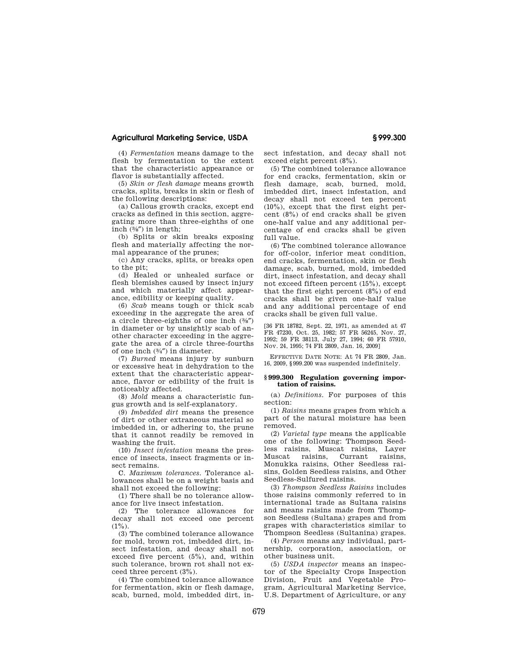(4) *Fermentation* means damage to the flesh by fermentation to the extent that the characteristic appearance or flavor is substantially affected.

(5) *Skin or flesh damage* means growth cracks, splits, breaks in skin or flesh of the following descriptions:

(a) Callous growth cracks, except end cracks as defined in this section, aggregating more than three-eighths of one inch (3⁄8″) in length;

(b) Splits or skin breaks exposing flesh and materially affecting the normal appearance of the prunes;

(c) Any cracks, splits, or breaks open to the pit;

(d) Healed or unhealed surface or flesh blemishes caused by insect injury and which materially affect appearance, edibility or keeping quality.

(6) *Scab* means tough or thick scab exceeding in the aggregate the area of a circle three-eighths of one inch (3⁄8″) in diameter or by unsightly scab of another character exceeding in the aggregate the area of a circle three-fourths of one inch (3⁄4″) in diameter.

(7) *Burned* means injury by sunburn or excessive heat in dehydration to the extent that the characteristic appearance, flavor or edibility of the fruit is noticeably affected.

(8) *Mold* means a characteristic fungus growth and is self-explanatory.

(9) *Imbedded dirt* means the presence of dirt or other extraneous material so imbedded in, or adhering to, the prune that it cannot readily be removed in washing the fruit.

(10) *Insect infestation* means the presence of insects, insect fragments or insect remains.

C. *Maximum tolerances.* Tolerance allowances shall be on a weight basis and shall not exceed the following:

(1) There shall be no tolerance allowance for live insect infestation.

(2) The tolerance allowances for decay shall not exceed one percent  $(1\%)$ .

(3) The combined tolerance allowance for mold, brown rot, imbedded dirt, insect infestation, and decay shall not exceed five percent (5%), and, within such tolerance, brown rot shall not exceed three percent (3%).

(4) The combined tolerance allowance for fermentation, skin or flesh damage, scab, burned, mold, imbedded dirt, insect infestation, and decay shall not exceed eight percent (8%).

(5) The combined tolerance allowance for end cracks, fermentation, skin or flesh damage, scab, burned, mold, imbedded dirt, insect infestation, and decay shall not exceed ten percent (10%), except that the first eight percent (8%) of end cracks shall be given one-half value and any additional percentage of end cracks shall be given full value.

(6) The combined tolerance allowance for off-color, inferior meat condition, end cracks, fermentation, skin or flesh damage, scab, burned, mold, imbedded dirt, insect infestation, and decay shall not exceed fifteen percent (15%), except that the first eight percent (8%) of end cracks shall be given one-half value and any additional percentage of end cracks shall be given full value.

[36 FR 18782, Sept. 22, 1971, as amended at 47 FR 47230, Oct. 25, 1982; 57 FR 56245, Nov. 27, 1992; 59 FR 38113, July 27, 1994; 60 FR 57910, Nov. 24, 1995; 74 FR 2809, Jan. 16, 2009]

EFFECTIVE DATE NOTE: At 74 FR 2809, Jan. 16, 2009, §999.200 was suspended indefinitely.

#### **§ 999.300 Regulation governing importation of raisins.**

(a) *Definitions.* For purposes of this section:

(1) *Raisins* means grapes from which a part of the natural moisture has been removed.

(2) *Varietal type* means the applicable one of the following: Thompson Seedless raisins, Muscat raisins, Layer Currant <sub>r</sub> Monukka raisins, Other Seedless raisins, Golden Seedless raisins, and Other Seedless-Sulfured raisins.

(3) *Thompson Seedless Raisins* includes those raisins commonly referred to in international trade as Sultana raisins and means raisins made from Thompson Seedless (Sultana) grapes and from grapes with characteristics similar to Thompson Seedless (Sultanina) grapes.

(4) *Person* means any individual, partnership, corporation, association, or other business unit.

(5) *USDA inspector* means an inspector of the Specialty Crops Inspection Division, Fruit and Vegetable Program, Agricultural Marketing Service, U.S. Department of Agriculture, or any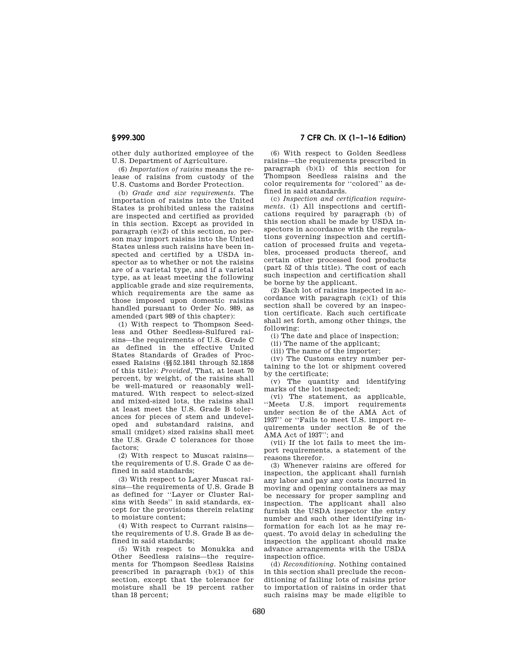other duly authorized employee of the U.S. Department of Agriculture.

(6) *Importation of raisins* means the release of raisins from custody of the U.S. Customs and Border Protection.

(b) *Grade and size requirements.* The importation of raisins into the United States is prohibited unless the raisins are inspected and certified as provided in this section. Except as provided in paragraph (e)(2) of this section, no person may import raisins into the United States unless such raisins have been inspected and certified by a USDA inspector as to whether or not the raisins are of a varietal type, and if a varietal type, as at least meeting the following applicable grade and size requirements, which requirements are the same as those imposed upon domestic raisins handled pursuant to Order No. 989, as amended (part 989 of this chapter):

(1) With respect to Thompson Seedless and Other Seedless-Sulfured raisins—the requirements of U.S. Grade C as defined in the effective United States Standards of Grades of Processed Raisins (§§52.1841 through 52.1858 of this title): *Provided,* That, at least 70 percent, by weight, of the raisins shall be well-matured or reasonably wellmatured. With respect to select-sized and mixed-sized lots, the raisins shall at least meet the U.S. Grade B tolerances for pieces of stem and undeveloped and substandard raisins, and small (midget) sized raisins shall meet the U.S. Grade C tolerances for those factors;

(2) With respect to Muscat raisins the requirements of U.S. Grade C as defined in said standards;

(3) With respect to Layer Muscat raisins—the requirements of U.S. Grade B as defined for ''Layer or Cluster Raisins with Seeds'' in said standards, except for the provisions therein relating to moisture content;

(4) With respect to Currant raisins the requirements of U.S. Grade B as defined in said standards;

(5) With respect to Monukka and Other Seedless raisins—the requirements for Thompson Seedless Raisins prescribed in paragraph (b)(1) of this section, except that the tolerance for moisture shall be 19 percent rather than 18 percent;

**§ 999.300 7 CFR Ch. IX (1–1–16 Edition)** 

(6) With respect to Golden Seedless raisins—the requirements prescribed in paragraph  $(b)(1)$  of this section for Thompson Seedless raisins and the color requirements for ''colored'' as defined in said standards.

(c) *Inspection and certification requirements.* (1) All inspections and certifications required by paragraph (b) of this section shall be made by USDA inspectors in accordance with the regulations governing inspection and certification of processed fruits and vegetables, processed products thereof, and certain other processed food products (part 52 of this title). The cost of each such inspection and certification shall be borne by the applicant.

(2) Each lot of raisins inspected in accordance with paragraph  $(c)(1)$  of this section shall be covered by an inspection certificate. Each such certificate shall set forth, among other things, the following:

(i) The date and place of inspection;

(ii) The name of the applicant;

(iii) The name of the importer;

(iv) The Customs entry number per-

taining to the lot or shipment covered by the certificate;

(v) The quantity and identifying marks of the lot inspected;

(vi) The statement, as applicable, ''Meets U.S. import requirements under section 8e of the AMA Act of 1937'' or ''Fails to meet U.S. import requirements under section 8e of the AMA Act of 1937''; and

(vii) If the lot fails to meet the import requirements, a statement of the reasons therefor.

(3) Whenever raisins are offered for inspection, the applicant shall furnish any labor and pay any costs incurred in moving and opening containers as may be necessary for proper sampling and inspection. The applicant shall also furnish the USDA inspector the entry number and such other identifying information for each lot as he may request. To avoid delay in scheduling the inspection the applicant should make advance arrangements with the USDA inspection office.

(d) *Reconditioning.* Nothing contained in this section shall preclude the reconditioning of failing lots of raisins prior to importation of raisins in order that such raisins may be made eligible to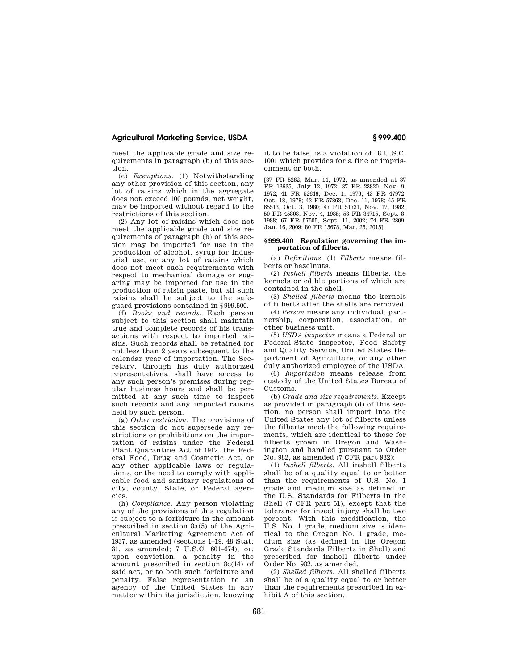meet the applicable grade and size requirements in paragraph (b) of this section.

(e) *Exemptions.* (1) Notwithstanding any other provision of this section, any lot of raisins which in the aggregate does not exceed 100 pounds, net weight, may be imported without regard to the restrictions of this section.

(2) Any lot of raisins which does not meet the applicable grade and size requirements of paragraph (b) of this section may be imported for use in the production of alcohol, syrup for industrial use, or any lot of raisins which does not meet such requirements with respect to mechanical damage or sugaring may be imported for use in the production of raisin paste, but all such raisins shall be subject to the safeguard provisions contained in §999.500.

(f) *Books and records.* Each person subject to this section shall maintain true and complete records of his transactions with respect to imported raisins. Such records shall be retained for not less than 2 years subsequent to the calendar year of importation. The Secretary, through his duly authorized representatives, shall have access to any such person's premises during regular business hours and shall be permitted at any such time to inspect such records and any imported raisins held by such person.

(g) *Other restriction.* The provisions of this section do not supersede any restrictions or prohibitions on the importation of raisins under the Federal Plant Quarantine Act of 1912, the Federal Food, Drug and Cosmetic Act, or any other applicable laws or regulations, or the need to comply with applicable food and sanitary regulations of city, county, State, or Federal agencies.

(h) *Compliance.* Any person violating any of the provisions of this regulation is subject to a forfeiture in the amount prescribed in section 8a(5) of the Agricultural Marketing Agreement Act of 1937, as amended (sections 1–19, 48 Stat. 31, as amended; 7 U.S.C. 601–674), or, upon conviction, a penalty in the amount prescribed in section 8c(14) of said act, or to both such forfeiture and penalty. False representation to an agency of the United States in any matter within its jurisdiction, knowing

it to be false, is a violation of 18 U.S.C. 1001 which provides for a fine or imprisonment or both.

[37 FR 5282, Mar. 14, 1972, as amended at 37 FR 13635, July 12, 1972; 37 FR 23820, Nov. 9, 1972; 41 FR 52646, Dec. 1, 1976; 43 FR 47972, Oct. 18, 1978; 43 FR 57863, Dec. 11, 1978; 45 FR 65513, Oct. 3, 1980; 47 FR 51731, Nov. 17, 1982; 50 FR 45808, Nov. 4, 1985; 53 FR 34715, Sept. 8, 1988; 67 FR 57505, Sept. 11, 2002; 74 FR 2809, Jan. 16, 2009; 80 FR 15678, Mar. 25, 2015]

### **§ 999.400 Regulation governing the importation of filberts.**

(a) *Definitions.* (1) *Filberts* means filberts or hazelnuts.

(2) *Inshell filberts* means filberts, the kernels or edible portions of which are contained in the shell.

(3) *Shelled filberts* means the kernels of filberts after the shells are removed.

(4) *Person* means any individual, partnership, corporation, association, or other business unit.

(5) *USDA inspector* means a Federal or Federal-State inspector, Food Safety and Quality Service, United States Department of Agriculture, or any other duly authorized employee of the USDA.

(6) *Importation* means release from custody of the United States Bureau of Customs.

(b) *Grade and size requirements.* Except as provided in paragraph (d) of this section, no person shall import into the United States any lot of filberts unless the filberts meet the following requirements, which are identical to those for filberts grown in Oregon and Washington and handled pursuant to Order No. 982, as amended (7 CFR part 982):

(1) *Inshell filberts.* All inshell filberts shall be of a quality equal to or better than the requirements of U.S. No. 1 grade and medium size as defined in the U.S. Standards for Filberts in the Shell (7 CFR part 51), except that the tolerance for insect injury shall be two percent. With this modification, the U.S. No. 1 grade, medium size is identical to the Oregon No. 1 grade, medium size (as defined in the Oregon Grade Standards Filberts in Shell) and prescribed for inshell filberts under Order No. 982, as amended.

(2) *Shelled filberts.* All shelled filberts shall be of a quality equal to or better than the requirements prescribed in exhibit A of this section.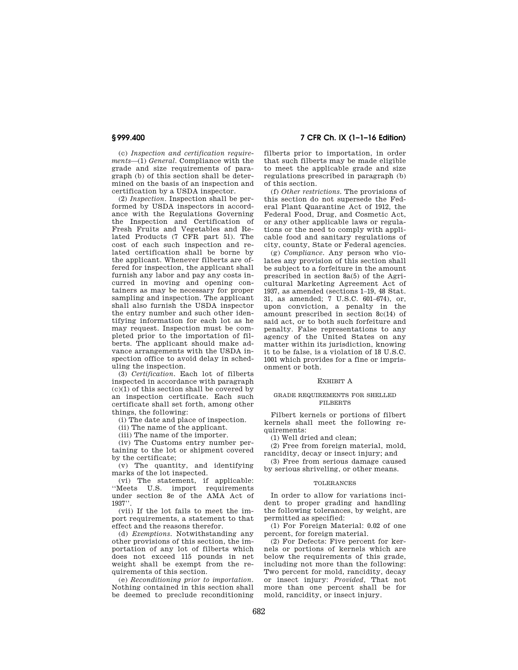(c) *Inspection and certification requirements*—(1) *General.* Compliance with the grade and size requirements of paragraph (b) of this section shall be determined on the basis of an inspection and certification by a USDA inspector.

(2) *Inspection.* Inspection shall be performed by USDA inspectors in accordance with the Regulations Governing the Inspection and Certification of Fresh Fruits and Vegetables and Related Products (7 CFR part 51). The cost of each such inspection and related certification shall be borne by the applicant. Whenever filberts are offered for inspection, the applicant shall furnish any labor and pay any costs incurred in moving and opening containers as may be necessary for proper sampling and inspection. The applicant shall also furnish the USDA inspector the entry number and such other identifying information for each lot as he may request. Inspection must be completed prior to the importation of filberts. The applicant should make advance arrangements with the USDA inspection office to avoid delay in scheduling the inspection.

(3) *Certification.* Each lot of filberts inspected in accordance with paragraph (c)(1) of this section shall be covered by an inspection certificate. Each such certificate shall set forth, among other things, the following:

(i) The date and place of inspection.

(ii) The name of the applicant.

(iii) The name of the importer.

(iv) The Customs entry number pertaining to the lot or shipment covered by the certificate;

(v) The quantity, and identifying marks of the lot inspected.

(vi) The statement, if applicable: ''Meets U.S. import requirements under section 8e of the AMA Act of 1937''.

(vii) If the lot fails to meet the import requirements, a statement to that effect and the reasons therefor.

(d) *Exemptions.* Notwithstanding any other provisions of this section, the importation of any lot of filberts which does not exceed 115 pounds in net weight shall be exempt from the requirements of this section.

(e) *Reconditioning prior to importation.*  Nothing contained in this section shall be deemed to preclude reconditioning

# **§ 999.400 7 CFR Ch. IX (1–1–16 Edition)**

filberts prior to importation, in order that such filberts may be made eligible to meet the applicable grade and size regulations prescribed in paragraph (b) of this section.

(f) *Other restrictions.* The provisions of this section do not supersede the Federal Plant Quarantine Act of 1912, the Federal Food, Drug, and Cosmetic Act, or any other applicable laws or regulations or the need to comply with applicable food and sanitary regulations of city, county, State or Federal agencies.

(g) *Compliance.* Any person who violates any provision of this section shall be subject to a forfeiture in the amount prescribed in section 8a(5) of the Agricultural Marketing Agreement Act of 1937, as amended (sections 1–19, 48 Stat. 31, as amended; 7 U.S.C. 601–674), or, upon conviction, a penalty in the amount prescribed in section 8c(14) of said act, or to both such forfeiture and penalty. False representations to any agency of the United States on any matter within its jurisdiction, knowing it to be false, is a violation of 18 U.S.C. 1001 which provides for a fine or imprisonment or both.

## EXHIBIT A

### GRADE REQUIREMENTS FOR SHELLED FILBERTS

Filbert kernels or portions of filbert kernels shall meet the following requirements:

(1) Well dried and clean;

(2) Free from foreign material, mold, rancidity, decay or insect injury; and

(3) Free from serious damage caused by serious shriveling, or other means.

#### TOLERANCES

In order to allow for variations incident to proper grading and handling the following tolerances, by weight, are permitted as specified:

(1) For Foreign Material: 0.02 of one percent, for foreign material.

(2) For Defects: Five percent for kernels or portions of kernels which are below the requirements of this grade, including not more than the following: Two percent for mold, rancidity, decay or insect injury: *Provided,* That not more than one percent shall be for mold, rancidity, or insect injury.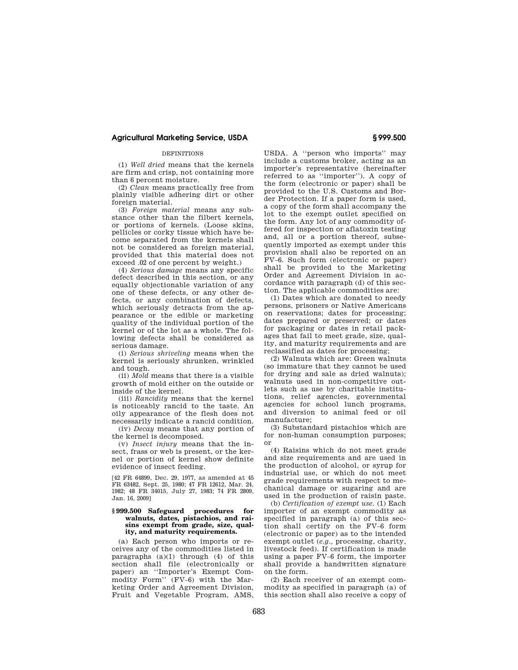#### **DEFINITIONS**

(1) *Well dried* means that the kernels are firm and crisp, not containing more than 6 percent moisture.

(2) *Clean* means practically free from plainly visible adhering dirt or other foreign material.

(3) *Foreign material* means any substance other than the filbert kernels, or portions of kernels. (Loose skins, pellicles or corky tissue which have become separated from the kernels shall not be considered as foreign material, provided that this material does not exceed .02 of one percent by weight.)

(4) *Serious damage* means any specific defect described in this section, or any equally objectionable variation of any one of these defects, or any other defects, or any combination of defects, which seriously detracts from the appearance or the edible or marketing quality of the individual portion of the kernel or of the lot as a whole. The following defects shall be considered as serious damage.

(i) *Serious shriveling* means when the kernel is seriously shrunken, wrinkled and tough.

(ii) *Mold* means that there is a visible growth of mold either on the outside or inside of the kernel.

(iii) *Rancidity* means that the kernel is noticeably rancid to the taste. An oily appearance of the flesh does not necessarily indicate a rancid condition.

(iv) *Decay* means that any portion of the kernel is decomposed.

(v) *Insect injury* means that the insect, frass or web is present, or the kernel or portion of kernel show definite evidence of insect feeding.

[42 FR 64899, Dec. 29, 1977, as amended at 45 FR 63482, Sept. 25, 1980; 47 FR 12612, Mar. 24, 1982; 48 FR 34015, July 27, 1983; 74 FR 2809, Jan. 16, 2009]

#### **§ 999.500 Safeguard procedures for walnuts, dates, pistachios, and raisins exempt from grade, size, quality, and maturity requirements.**

(a) Each person who imports or receives any of the commodities listed in paragraphs  $(a)(1)$  through  $(4)$  of this section shall file (electronically or paper) an ''Importer's Exempt Commodity Form'' (FV–6) with the Marketing Order and Agreement Division, Fruit and Vegetable Program, AMS,

USDA. A ''person who imports'' may include a customs broker, acting as an importer's representative (hereinafter referred to as ''importer''). A copy of the form (electronic or paper) shall be provided to the U.S. Customs and Border Protection. If a paper form is used, a copy of the form shall accompany the lot to the exempt outlet specified on the form. Any lot of any commodity offered for inspection or aflatoxin testing and, all or a portion thereof, subsequently imported as exempt under this provision shall also be reported on an FV–6. Such form (electronic or paper) shall be provided to the Marketing Order and Agreement Division in accordance with paragraph (d) of this section. The applicable commodities are:

(1) Dates which are donated to needy persons, prisoners or Native Americans on reservations; dates for processing; dates prepared or preserved; or dates for packaging or dates in retail packages that fail to meet grade, size, quality, and maturity requirements and are reclassified as dates for processing;

(2) Walnuts which are: Green walnuts (so immature that they cannot be used for drying and sale as dried walnuts); walnuts used in non-competitive outlets such as use by charitable institutions, relief agencies, governmental agencies for school lunch programs, and diversion to animal feed or oil manufacture;

(3) Substandard pistachios which are for non-human consumption purposes; or

(4) Raisins which do not meet grade and size requirements and are used in the production of alcohol, or syrup for industrial use, or which do not meet grade requirements with respect to mechanical damage or sugaring and are used in the production of raisin paste.

(b) *Certification of exempt use.* (1) Each importer of an exempt commodity as specified in paragraph (a) of this section shall certify on the FV–6 form (electronic or paper) as to the intended exempt outlet (*e.g.,* processing, charity, livestock feed). If certification is made using a paper FV–6 form, the importer shall provide a handwritten signature on the form.

(2) Each receiver of an exempt commodity as specified in paragraph (a) of this section shall also receive a copy of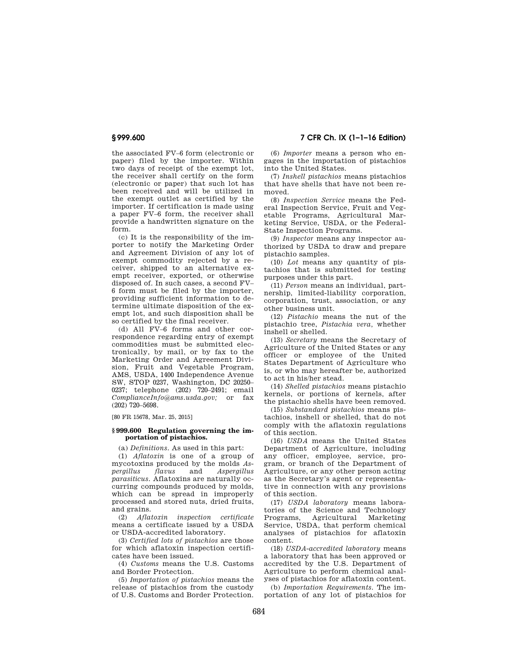the associated FV–6 form (electronic or paper) filed by the importer. Within two days of receipt of the exempt lot, the receiver shall certify on the form (electronic or paper) that such lot has been received and will be utilized in the exempt outlet as certified by the importer. If certification is made using a paper FV–6 form, the receiver shall provide a handwritten signature on the form.

(c) It is the responsibility of the importer to notify the Marketing Order and Agreement Division of any lot of exempt commodity rejected by a receiver, shipped to an alternative exempt receiver, exported, or otherwise disposed of. In such cases, a second FV– 6 form must be filed by the importer, providing sufficient information to determine ultimate disposition of the exempt lot, and such disposition shall be so certified by the final receiver.

(d) All FV–6 forms and other correspondence regarding entry of exempt commodities must be submitted electronically, by mail, or by fax to the Marketing Order and Agreement Division, Fruit and Vegetable Program, AMS, USDA, 1400 Independence Avenue SW, STOP 0237, Washington, DC 20250– 0237; telephone (202) 720–2491; email *ComplianceInfo@ams.usda.gov;* or fax (202) 720–5698.

[80 FR 15678, Mar. 25, 2015]

### **§ 999.600 Regulation governing the importation of pistachios.**

(a) *Definitions.* As used in this part:

(1) *Aflatoxin* is one of a group of mycotoxins produced by the molds *Aspergillus flavus* and *Aspergillus parasiticus.* Aflatoxins are naturally occurring compounds produced by molds, which can be spread in improperly processed and stored nuts, dried fruits, and grains.

(2) *Aflatoxin inspection certificate*  means a certificate issued by a USDA or USDA-accredited laboratory.

(3) *Certified lots of pistachios* are those for which aflatoxin inspection certificates have been issued.

(4) *Customs* means the U.S. Customs and Border Protection.

(5) *Importation of pistachios* means the release of pistachios from the custody of U.S. Customs and Border Protection.

**§ 999.600 7 CFR Ch. IX (1–1–16 Edition)** 

(6) *Importer* means a person who engages in the importation of pistachios into the United States.

(7) *Inshell pistachios* means pistachios that have shells that have not been removed.

(8) *Inspection Service* means the Federal Inspection Service, Fruit and Vegetable Programs, Agricultural Marketing Service, USDA, or the Federal-State Inspection Programs.

(9) *Inspector* means any inspector authorized by USDA to draw and prepare pistachio samples.

(10) *Lot* means any quantity of pistachios that is submitted for testing purposes under this part.

(11) *Person* means an individual, partnership, limited-liability corporation, corporation, trust, association, or any other business unit.

(12) *Pistachio* means the nut of the pistachio tree, *Pistachia vera,* whether inshell or shelled.

(13) *Secretary* means the Secretary of Agriculture of the United States or any officer or employee of the United States Department of Agriculture who is, or who may hereafter be, authorized to act in his/her stead.

(14) *Shelled pistachios* means pistachio kernels, or portions of kernels, after the pistachio shells have been removed.

(15) *Substandard pistachios* means pistachios, inshell or shelled, that do not comply with the aflatoxin regulations of this section.

(16) *USDA* means the United States Department of Agriculture, including any officer, employee, service, program, or branch of the Department of Agriculture, or any other person acting as the Secretary's agent or representative in connection with any provisions of this section.

(17) *USDA laboratory* means laboratories of the Science and Technology Programs, Agricultural Marketing Service, USDA, that perform chemical analyses of pistachios for aflatoxin content.

(18) *USDA-accredited laboratory* means a laboratory that has been approved or accredited by the U.S. Department of Agriculture to perform chemical analyses of pistachios for aflatoxin content.

(b) *Importation Requirements.* The importation of any lot of pistachios for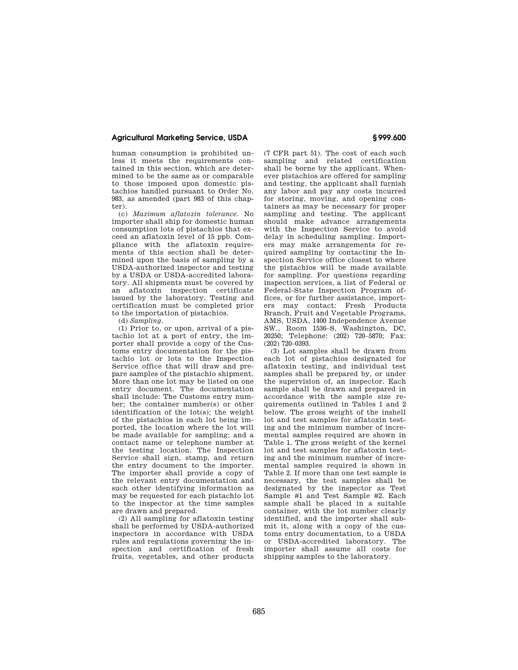human consumption is prohibited unless it meets the requirements contained in this section, which are determined to be the same as or comparable to those imposed upon domestic pistachios handled pursuant to Order No. 983, as amended (part 983 of this chapter).

(c) *Maximum aflatoxin tolerance.* No importer shall ship for domestic human consumption lots of pistachios that exceed an aflatoxin level of 15 ppb. Compliance with the aflatoxin requirements of this section shall be determined upon the basis of sampling by a USDA-authorized inspector and testing by a USDA or USDA-accredited laboratory. All shipments must be covered by an aflatoxin inspection certificate issued by the laboratory. Testing and certification must be completed prior to the importation of pistachios.

(d) *Sampling.* 

(1) Prior to, or upon, arrival of a pistachio lot at a port of entry, the importer shall provide a copy of the Customs entry documentation for the pistachio lot or lots to the Inspection Service office that will draw and prepare samples of the pistachio shipment. More than one lot may be listed on one entry document. The documentation shall include: The Customs entry number; the container number(s) or other identification of the lot(s); the weight of the pistachios in each lot being imported, the location where the lot will be made available for sampling; and a contact name or telephone number at the testing location. The Inspection Service shall sign, stamp, and return the entry document to the importer. The importer shall provide a copy of the relevant entry documentation and such other identifying information as may be requested for each pistachio lot to the inspector at the time samples are drawn and prepared.

(2) All sampling for aflatoxin testing shall be performed by USDA-authorized inspectors in accordance with USDA rules and regulations governing the inspection and certification of fresh fruits, vegetables, and other products

(7 CFR part 51). The cost of each such sampling and related certification shall be borne by the applicant. Whenever pistachios are offered for sampling and testing, the applicant shall furnish any labor and pay any costs incurred for storing, moving, and opening containers as may be necessary for proper sampling and testing. The applicant should make advance arrangements with the Inspection Service to avoid delay in scheduling sampling. Importers may make arrangements for required sampling by contacting the Inspection Service office closest to where the pistachios will be made available for sampling. For questions regarding inspection services, a list of Federal or Federal-State Inspection Program offices, or for further assistance, importers may contact: Fresh Products Branch, Fruit and Vegetable Programs, AMS, USDA, 1400 Independence Avenue SW., Room 1536–S, Washington, DC, 20250; Telephone: (202) 720–5870; Fax: (202) 720–0393.

(3) Lot samples shall be drawn from each lot of pistachios designated for aflatoxin testing, and individual test samples shall be prepared by, or under the supervision of, an inspector. Each sample shall be drawn and prepared in accordance with the sample size requirements outlined in Tables 1 and 2 below. The gross weight of the inshell lot and test samples for aflatoxin testing and the minimum number of incremental samples required are shown in Table 1. The gross weight of the kernel lot and test samples for aflatoxin testing and the minimum number of incremental samples required is shown in Table 2. If more than one test sample is necessary, the test samples shall be designated by the inspector as Test Sample #1 and Test Sample #2. Each sample shall be placed in a suitable container, with the lot number clearly identified, and the importer shall submit it, along with a copy of the customs entry documentation, to a USDA or USDA-accredited laboratory. The importer shall assume all costs for shipping samples to the laboratory.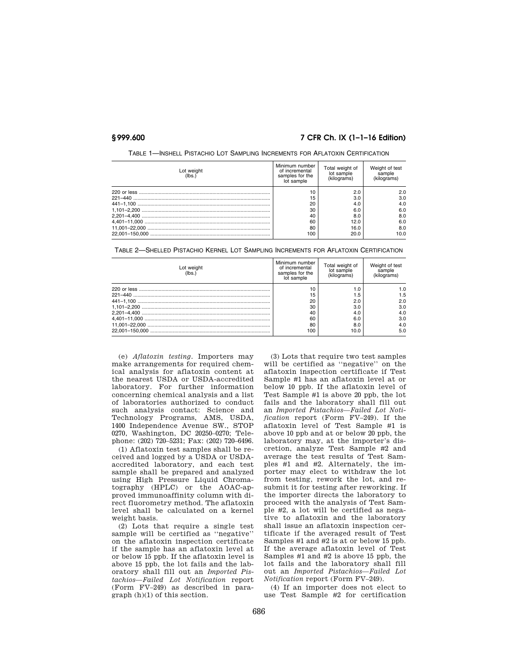# **§ 999.600 7 CFR Ch. IX (1–1–16 Edition)**

| Lot weight<br>(Ibs. | Minimum number<br>of incremental<br>samples for the<br>lot sample | Total weight of<br>lot sample<br>(kilograms) | Weight of test<br>sample |
|---------------------|-------------------------------------------------------------------|----------------------------------------------|--------------------------|
|                     |                                                                   | 2.0                                          | 2 በ                      |
|                     | 15                                                                | 3.0                                          | 3.0                      |
|                     | 20                                                                | 4.0                                          | 4.0                      |
|                     | 30                                                                | 6.0                                          | 6.0                      |
|                     | 40                                                                | 8.0                                          | 8.0                      |
|                     | 60                                                                | 12.0                                         | 6.0                      |
|                     | 80                                                                | 16.0                                         | 8.0                      |
| 22.001-150.000      | 100                                                               |                                              |                          |

TABLE 1—INSHELL PISTACHIO LOT SAMPLING INCREMENTS FOR AFLATOXIN CERTIFICATION

TABLE 2—SHELLED PISTACHIO KERNEL LOT SAMPLING INCREMENTS FOR AFLATOXIN CERTIFICATION

| Lot weight<br>(Ibs. | Minimum number<br>of incremental<br>samples for the<br>lot sample | Total weight of<br>lot sample<br>(kilograms) | Weight of test<br>sample<br>kiloarams |
|---------------------|-------------------------------------------------------------------|----------------------------------------------|---------------------------------------|
|                     | 10                                                                | 1.0                                          | 1.0                                   |
|                     | 15                                                                | 1.5                                          | 1.5                                   |
|                     | 20                                                                | 2.0                                          | 2.0                                   |
|                     | 30                                                                | 3.0                                          | 3.0                                   |
|                     | 40                                                                | 4.0                                          | 4.0                                   |
|                     | 60                                                                | 6.0                                          | 3.0                                   |
|                     | 80                                                                | 8.0                                          | 4.0                                   |
|                     | 100                                                               | 10.0                                         | 5.0                                   |

(e) *Aflatoxin testing.* Importers may make arrangements for required chemical analysis for aflatoxin content at the nearest USDA or USDA-accredited laboratory. For further information concerning chemical analysis and a list of laboratories authorized to conduct such analysis contact: Science and Technology Programs, AMS, USDA, 1400 Independence Avenue SW., STOP 0270, Washington, DC 20250–0270; Telephone: (202) 720–5231; Fax: (202) 720–6496.

(1) Aflatoxin test samples shall be received and logged by a USDA or USDAaccredited laboratory, and each test sample shall be prepared and analyzed using High Pressure Liquid Chromatography (HPLC) or the AOAC-approved immunoaffinity column with direct fluorometry method. The aflatoxin level shall be calculated on a kernel weight basis.

(2) Lots that require a single test sample will be certified as ''negative'' on the aflatoxin inspection certificate if the sample has an aflatoxin level at or below 15 ppb. If the aflatoxin level is above 15 ppb, the lot fails and the laboratory shall fill out an *Imported Pistachios—Failed Lot Notification* report (Form FV–249) as described in para $graph(h)(1)$  of this section.

(3) Lots that require two test samples will be certified as ''negative'' on the aflatoxin inspection certificate if Test Sample #1 has an aflatoxin level at or below 10 ppb. If the aflatoxin level of Test Sample #1 is above 20 ppb, the lot fails and the laboratory shall fill out an *Imported Pistachios—Failed Lot Notification* report (Form FV–249). If the aflatoxin level of Test Sample #1 is above 10 ppb and at or below 20 ppb, the laboratory may, at the importer's discretion, analyze Test Sample #2 and average the test results of Test Samples #1 and #2. Alternately, the importer may elect to withdraw the lot from testing, rework the lot, and resubmit it for testing after reworking. If the importer directs the laboratory to proceed with the analysis of Test Sample #2, a lot will be certified as negative to aflatoxin and the laboratory shall issue an aflatoxin inspection certificate if the averaged result of Test Samples #1 and #2 is at or below 15 ppb. If the average aflatoxin level of Test Samples #1 and #2 is above 15 ppb, the lot fails and the laboratory shall fill out an *Imported Pistachios—Failed Lot Notification* report (Form FV–249).

(4) If an importer does not elect to use Test Sample #2 for certification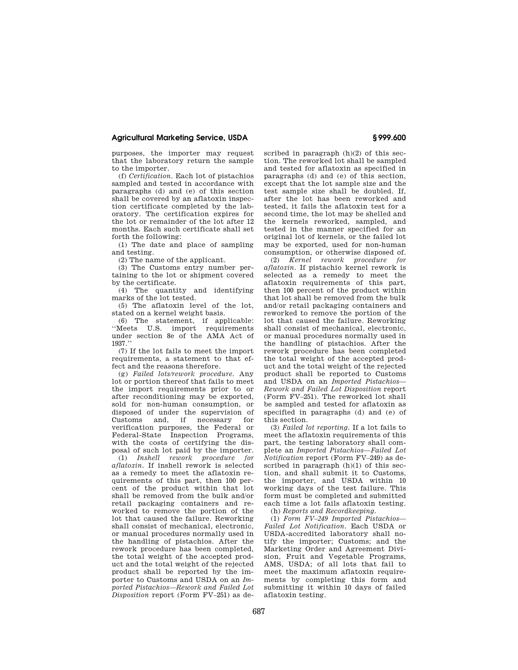purposes, the importer may request that the laboratory return the sample to the importer.

(f) *Certification.* Each lot of pistachios sampled and tested in accordance with paragraphs (d) and (e) of this section shall be covered by an aflatoxin inspection certificate completed by the laboratory. The certification expires for the lot or remainder of the lot after 12 months. Each such certificate shall set forth the following:

(1) The date and place of sampling and testing.

(2) The name of the applicant.

(3) The Customs entry number pertaining to the lot or shipment covered by the certificate.

(4) The quantity and identifying marks of the lot tested.

(5) The aflatoxin level of the lot, stated on a kernel weight basis.

(6) The statement, if applicable: ''Meets U.S. import requirements under section 8e of the AMA Act of 1937.''

(7) If the lot fails to meet the import requirements, a statement to that effect and the reasons therefore.

(g) *Failed lots/rework procedure.* Any lot or portion thereof that fails to meet the import requirements prior to or after reconditioning may be exported, sold for non-human consumption, or disposed of under the supervision of<br>Customs and, if necessary for and, if necessary for verification purposes, the Federal or Federal-State Inspection Programs, with the costs of certifying the disposal of such lot paid by the importer.

(1) *Inshell rework procedure for aflatoxin.* If inshell rework is selected as a remedy to meet the aflatoxin requirements of this part, then 100 percent of the product within that lot shall be removed from the bulk and/or retail packaging containers and reworked to remove the portion of the lot that caused the failure. Reworking shall consist of mechanical, electronic, or manual procedures normally used in the handling of pistachios. After the rework procedure has been completed, the total weight of the accepted product and the total weight of the rejected product shall be reported by the importer to Customs and USDA on an *Imported Pistachios—Rework and Failed Lot Disposition* report (Form FV–251) as described in paragraph (h)(2) of this section. The reworked lot shall be sampled and tested for aflatoxin as specified in paragraphs (d) and (e) of this section, except that the lot sample size and the test sample size shall be doubled. If, after the lot has been reworked and tested, it fails the aflatoxin test for a second time, the lot may be shelled and the kernels reworked, sampled, and tested in the manner specified for an original lot of kernels, or the failed lot may be exported, used for non-human consumption, or otherwise disposed of.

(2) *Kernel rework procedure for aflatoxin.* If pistachio kernel rework is selected as a remedy to meet the aflatoxin requirements of this part, then 100 percent of the product within that lot shall be removed from the bulk and/or retail packaging containers and reworked to remove the portion of the lot that caused the failure. Reworking shall consist of mechanical, electronic, or manual procedures normally used in the handling of pistachios. After the rework procedure has been completed the total weight of the accepted product and the total weight of the rejected product shall be reported to Customs and USDA on an *Imported Pistachios— Rework and Failed Lot Disposition* report (Form FV–251). The reworked lot shall be sampled and tested for aflatoxin as specified in paragraphs (d) and (e) of this section.

(3) *Failed lot reporting.* If a lot fails to meet the aflatoxin requirements of this part, the testing laboratory shall complete an *Imported Pistachios—Failed Lot Notification* report (Form FV–249) as described in paragraph  $(h)(1)$  of this section, and shall submit it to Customs, the importer, and USDA within 10 working days of the test failure. This form must be completed and submitted each time a lot fails aflatoxin testing.

(h) *Reports and Recordkeeping.* 

(1) *Form FV–249 Imported Pistachios— Failed Lot Notification.* Each USDA or USDA-accredited laboratory shall notify the importer; Customs; and the Marketing Order and Agreement Division, Fruit and Vegetable Programs, AMS, USDA; of all lots that fail to meet the maximum aflatoxin requirements by completing this form and submitting it within 10 days of failed aflatoxin testing.